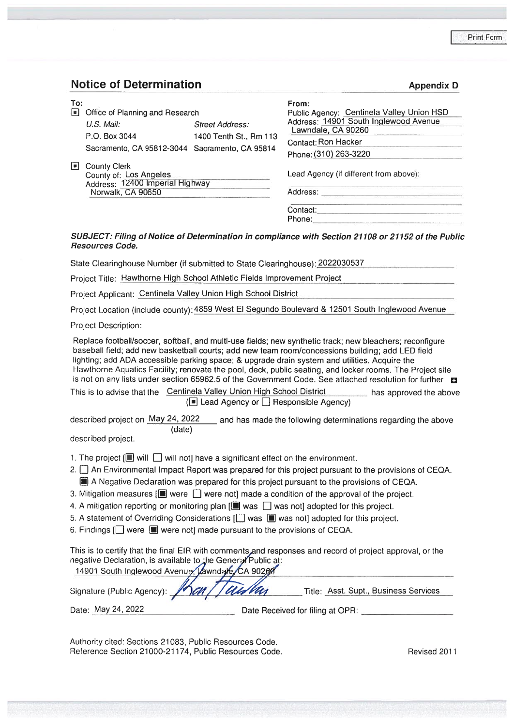### **Notice** of Determination **Appendix D**

| To: |                                                |                        | From:                                     |
|-----|------------------------------------------------|------------------------|-------------------------------------------|
| lчI | Office of Planning and Research                |                        | Public Agency: Centinela Valley Union HSD |
|     | $U.S.$ Mail:                                   | <b>Street Address:</b> | Address: 14901 South Inglewood Avenue     |
|     | P.O. Box 3044                                  | 1400 Tenth St., Rm 113 | Lawndale, CA 90260                        |
|     | Sacramento, CA 95812-3044 Sacramento, CA 95814 |                        | Contact: Ron Hacker                       |
|     |                                                |                        | Phone: (310) 263-3220                     |
| Ш   | <b>County Clerk</b>                            |                        |                                           |
|     | County of: Los Angeles                         |                        | Lead Agency (if different from above):    |
|     | Address: 12400 Imperial Highway                |                        |                                           |
|     | Norwalk, CA 90650                              |                        | Address:                                  |
|     |                                                |                        | Contact:                                  |
|     |                                                |                        | Phone:                                    |

#### *SUBJECT: Filing of Notice of Determination in compliance with Section <sup>21108</sup> or <sup>21152</sup> of the Public Resources Code***.**

State Clearinghouse Number (if submitted to State Clearinghouse): <sup>2022030537</sup>

Project Title: Hawthorne High School Athletic Fields Improvement Project

Project Applicant: Centinela Valley Union High School District

Project Location (include county):4859 West El Segundo Boulevard & <sup>12501</sup> South Inglewood Avenue

Project Description:

Replace football/soccer, softball, and multi-use fields; new synthetic track; new bleachers; reconfigure baseball field; add new basketball courts; add new team room/concessions building; add LED field lighting; add ADA accessible parking space; & upgrade drain system and utilities. Acquire the Hawthorne Aquatics Facility; renovate the pool, deck, public seating, and locker rooms. The Project site is not on any lists under section 65962.5 of the Government Code. See attached resolution for further

This is to advise that the Centinela Valley Union High School District has approved the above  $(\blacksquare$  Lead Agency or  $\blacksquare$  Responsible Agency)

described project on May 24, <sup>2022</sup> (date) and has made the following determinations regarding the above

described project.

- 1. The project  $\Box$  will  $\Box$  will not] have a significant effect on the environment.
- 2.  $\square$  An Environmental Impact Report was prepared for this project pursuant to the provisions of CEQA. **SI** A Negative Declaration was prepared for this project pursuant to the provisions of CEQA.
- 3. Mitigation measures  $[\blacksquare]$  were  $\Box$  were not] made a condition of the approval of the project.
- 4. A mitigation reporting or monitoring plan  $[\blacksquare]$  was  $\Box$  was not] adopted for this project.
- 5. A statement of Overriding Considerations [ $\Box$  was  $\Box$  was not] adopted for this project.
- 6. Findings  $\Box$  were  $\Box$  were not] made pursuant to the provisions of CEQA.

This is to certify that the final EIR with comments and responses and record of project approval, or the negative Declaration, is available to the General Public at:<br>14901 South Inglewood Avenue Jawndare CA 90260

| 1430 TOULIT INGREWOOD AVENUS, KOWNUGHT CA SUZKO<br>Signature (Public Agency): 15 and I aus Van | Title: Asst. Supt., Business Services |
|------------------------------------------------------------------------------------------------|---------------------------------------|
| Date: May 24, 2022                                                                             | Date Received for filing at OPR:      |

Authority cited: Sections 21083, Public Resources Code. Reference Section 21000-21174, Public Resources Code. Revised 2011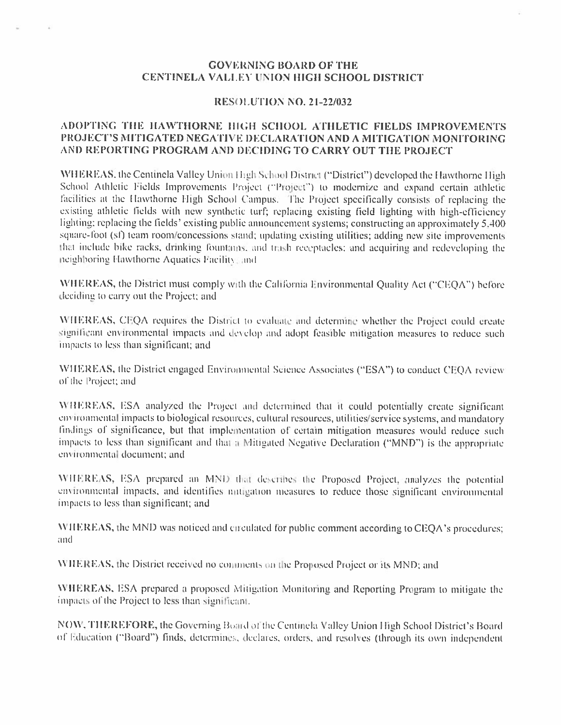#### GOVERNING BOARD OF THE CENTINELA VALI EV UNION HIGH SCHOOL DISTRICT

#### RESOLUTION NO. <sup>21</sup>-22/<sup>032</sup>

#### ADOPTING THE HAWTHORNE HIGH SCHOOL ATHLETIC FIELDS IMPROVEMENTS PROJECT'<sup>S</sup> MITIGATED NEGATIVE DECLARATION AND A MITIGATION MONITORING AND REPORTING PROGRAM AND DECIDING TO CARRY OUT THE PROJECT

WHEREAS, the Centinela Valley Union High School District ("District") developed the Hawthorne High School Athletic Fields Improvements Project ("Project") to modernize and expand certain athletic facilities at the Hawthorne High School Campus. The Project specifically consists of replacing the existing athletic fields with new synthetic turf; replacing existing field lighting with high-efficiency lighting: replacing the fields' existing public announcement systems; constructing an approximately 5.400 square-loot (sf) team room/concessions siand; updating existing utilities; adding new site improvements that include bike racks, drinking fountains, and trash receptacles; and acquiring and redeveloping the neighboring Hawthorne Aquatics Facility and

WHEREAS, the District must comply with the California Environmental Quality Act ("CEQA") before deciding to carry out the Project: and

WHEREAS, CEQA requires the District to evaluate and determine whether the Project could create significant environmental impacts and develop and adopt feasible mitigation measures to reduce such impacts to less than significant; and

WHEREAS, the District engaged Environmental Science Associates ("ESA") to conduct CEQA review of the Project; and

WHEREAS, ESA analyzed the Project and determined that it could potentially create significant cnvironmental impacts to biological resources, cultural resources, utilities/scrvice systems, and mandatory findings of significance, but that implementation of certain mitigation measures would reduce such impacts to less than significant and that <sup>a</sup> Mitigated Negative Declaration ("MND") is the appropriate cm ironmcntal document; and

WHEREAS, ESA prepared an MND that describes the Proposed Project, analyzes the potential environmental impacts, and identifies mitigation measures to reduce those significant environmental impacts to less than significant; and

WHEREAS, the MND was noticed and circulated for public comment according to CEQA'<sup>s</sup> procedures; and

WHEREAS, the District received no comments on the Proposed Project or its MND; and

WHEREAS, ESA prepared <sup>a</sup> proposed Mitigation Monitoring and Reporting Program to mitigate the impacts of the Project to less than significant.

NOW, THEREFORE, the Governing Board of the Centinela Valley Union High School District's Board of Education ("Board") finds, determines, declares, orders, and resolves (through its own independent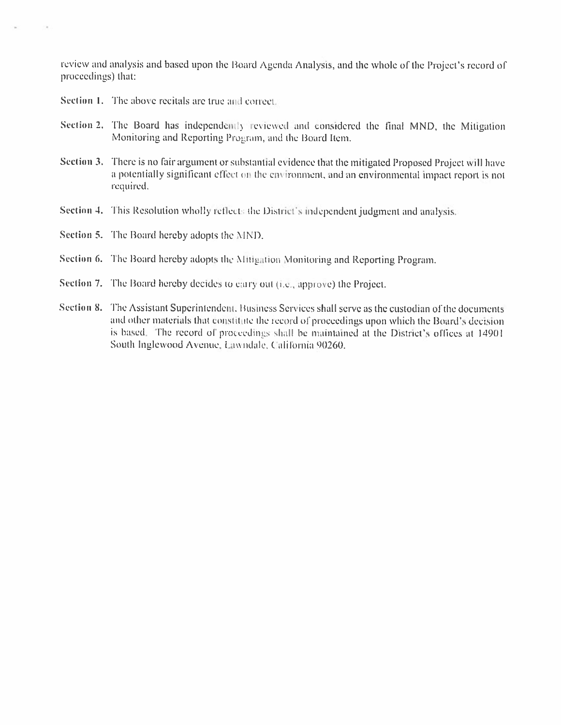review and analysis and based upon ihc Board Agenda Analysis, and the whole of the Project'<sup>s</sup> record of proceedings) that:

- Section 1. The above recitals are true and correct.
- **Section 2.** The Board has independently reviewed and considered the final MND, the Mitigation Monitoring and Reporting Program, and the Board Item.
- Section 3. There is no fair argument or substantial evidence that the mitigated Proposed Project will have a potentially significant effect on the environment, and an environmental impact report is not required. a potentially significant effect on the environment, and an environmental impact report is not required.
- Section 4. This Resolution wholly reflects the District's independent judgment and analysis.

Section 5. The Board hereby adopts the MND.

Section <sup>6</sup>. The Board hereby adopts the Mitigation Monitoring and Reporting Program.

- Section <sup>7</sup>. The Board hereby decides to cairy out (<sup>i</sup>.c., appiove) the Project.
- Section 8. The Assistant Superintendent. Business Services shall serve as the custodian of the documents and other materials that constitute the iccord of proceedings upon which the Board'<sup>s</sup> decision is based. The record of proceedings shall be maintained at the District's offices at 14901 South Inglewood Avenue. Lawndale. <sup>C</sup> alifornia <sup>90260</sup>.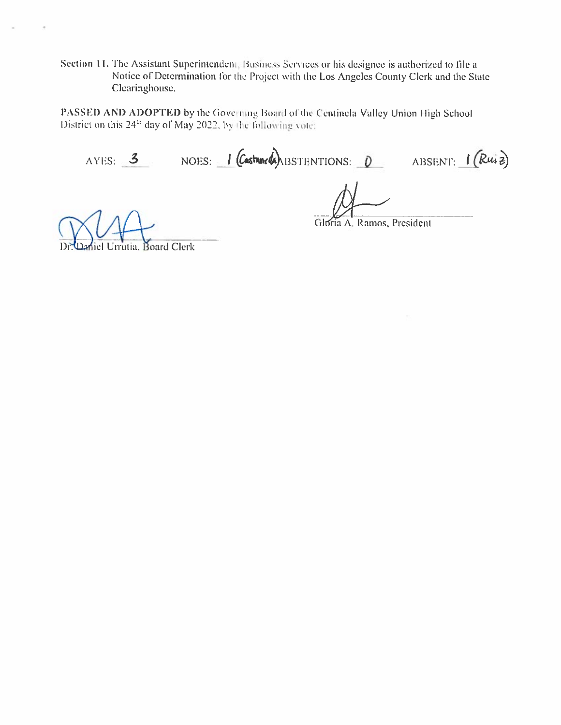Section 11. The Assistant Superintendent, Business Services or his designee is authorized to file a Notice of Determination lor the Project with the Los Angeles County Clerk and the State Clearinghouse.

PASSED AND ADOPTED by the Governing Board of the Centinela Valley Union High School District on this  $24<sup>th</sup>$  day of May 2022, by the following vote:

AYES: 3 NOES: 1 (Castaneda) BSTENTIONS: 0 ABSENT: 1 (Ruz)

Gloria A. Ramos, President

el Urrutia, Board Clerk